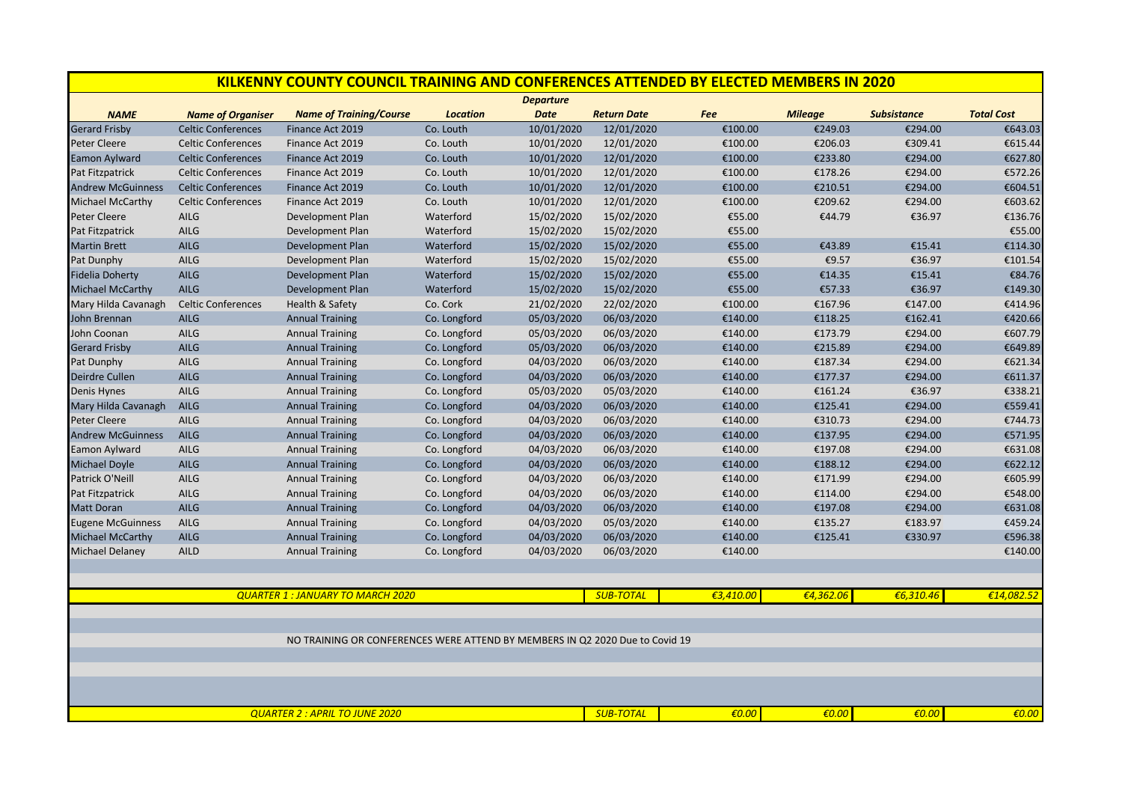| KILKENNY COUNTY COUNCIL TRAINING AND CONFERENCES ATTENDED BY ELECTED MEMBERS IN 2020 |                           |                                |                 |             |                    |           |                |                    |                   |  |  |
|--------------------------------------------------------------------------------------|---------------------------|--------------------------------|-----------------|-------------|--------------------|-----------|----------------|--------------------|-------------------|--|--|
| <b>Departure</b>                                                                     |                           |                                |                 |             |                    |           |                |                    |                   |  |  |
| <b>NAME</b>                                                                          | <b>Name of Organiser</b>  | <b>Name of Training/Course</b> | <b>Location</b> | <b>Date</b> | <b>Return Date</b> | Fee       | <b>Mileage</b> | <b>Subsistance</b> | <b>Total Cost</b> |  |  |
| <b>Gerard Frisby</b>                                                                 | <b>Celtic Conferences</b> | Finance Act 2019               | Co. Louth       | 10/01/2020  | 12/01/2020         | €100.00   | €249.03        | €294.00            | €643.03           |  |  |
| <b>Peter Cleere</b>                                                                  | <b>Celtic Conferences</b> | Finance Act 2019               | Co. Louth       | 10/01/2020  | 12/01/2020         | €100.00   | €206.03        | €309.41            | €615.44           |  |  |
| <b>Eamon Aylward</b>                                                                 | <b>Celtic Conferences</b> | Finance Act 2019               | Co. Louth       | 10/01/2020  | 12/01/2020         | €100.00   | €233.80        | €294.00            | €627.80           |  |  |
| Pat Fitzpatrick                                                                      | <b>Celtic Conferences</b> | Finance Act 2019               | Co. Louth       | 10/01/2020  | 12/01/2020         | €100.00   | €178.26        | €294.00            | €572.26           |  |  |
| <b>Andrew McGuinness</b>                                                             | <b>Celtic Conferences</b> | Finance Act 2019               | Co. Louth       | 10/01/2020  | 12/01/2020         | €100.00   | €210.51        | €294.00            | €604.51           |  |  |
| <b>Michael McCarthy</b>                                                              | <b>Celtic Conferences</b> | Finance Act 2019               | Co. Louth       | 10/01/2020  | 12/01/2020         | €100.00   | €209.62        | €294.00            | €603.62           |  |  |
| <b>Peter Cleere</b>                                                                  | <b>AILG</b>               | Development Plan               | Waterford       | 15/02/2020  | 15/02/2020         | €55.00    | €44.79         | €36.97             | €136.76           |  |  |
| Pat Fitzpatrick                                                                      | AILG                      | Development Plan               | Waterford       | 15/02/2020  | 15/02/2020         | €55.00    |                |                    | €55.00            |  |  |
| <b>Martin Brett</b>                                                                  | <b>AILG</b>               | Development Plan               | Waterford       | 15/02/2020  | 15/02/2020         | €55.00    | €43.89         | €15.41             | €114.30           |  |  |
| Pat Dunphy                                                                           | AILG                      | Development Plan               | Waterford       | 15/02/2020  | 15/02/2020         | €55.00    | €9.57          | €36.97             | €101.54           |  |  |
| <b>Fidelia Doherty</b>                                                               | <b>AILG</b>               | Development Plan               | Waterford       | 15/02/2020  | 15/02/2020         | €55.00    | €14.35         | €15.41             | €84.76            |  |  |
| <b>Michael McCarthy</b>                                                              | <b>AILG</b>               | <b>Development Plan</b>        | Waterford       | 15/02/2020  | 15/02/2020         | €55.00    | €57.33         | €36.97             | €149.30           |  |  |
| Mary Hilda Cavanagh                                                                  | <b>Celtic Conferences</b> | Health & Safety                | Co. Cork        | 21/02/2020  | 22/02/2020         | €100.00   | €167.96        | €147.00            | €414.96           |  |  |
| John Brennan                                                                         | <b>AILG</b>               | <b>Annual Training</b>         | Co. Longford    | 05/03/2020  | 06/03/2020         | €140.00   | €118.25        | €162.41            | €420.66           |  |  |
| John Coonan                                                                          | <b>AILG</b>               | <b>Annual Training</b>         | Co. Longford    | 05/03/2020  | 06/03/2020         | €140.00   | €173.79        | €294.00            | €607.79           |  |  |
| <b>Gerard Frisby</b>                                                                 | <b>AILG</b>               | <b>Annual Training</b>         | Co. Longford    | 05/03/2020  | 06/03/2020         | €140.00   | €215.89        | €294.00            | €649.89           |  |  |
| Pat Dunphy                                                                           | AILG                      | <b>Annual Training</b>         | Co. Longford    | 04/03/2020  | 06/03/2020         | €140.00   | €187.34        | €294.00            | €621.34           |  |  |
| <b>Deirdre Cullen</b>                                                                | <b>AILG</b>               | <b>Annual Training</b>         | Co. Longford    | 04/03/2020  | 06/03/2020         | €140.00   | €177.37        | €294.00            | €611.37           |  |  |
| Denis Hynes                                                                          | AILG                      | <b>Annual Training</b>         | Co. Longford    | 05/03/2020  | 05/03/2020         | €140.00   | €161.24        | €36.97             | €338.21           |  |  |
| Mary Hilda Cavanagh                                                                  | <b>AILG</b>               | <b>Annual Training</b>         | Co. Longford    | 04/03/2020  | 06/03/2020         | €140.00   | €125.41        | €294.00            | €559.41           |  |  |
| <b>Peter Cleere</b>                                                                  | AILG                      | <b>Annual Training</b>         | Co. Longford    | 04/03/2020  | 06/03/2020         | €140.00   | €310.73        | €294.00            | €744.73           |  |  |
| <b>Andrew McGuinness</b>                                                             | <b>AILG</b>               | <b>Annual Training</b>         | Co. Longford    | 04/03/2020  | 06/03/2020         | €140.00   | €137.95        | €294.00            | €571.95           |  |  |
| Eamon Aylward                                                                        | AILG                      | <b>Annual Training</b>         | Co. Longford    | 04/03/2020  | 06/03/2020         | €140.00   | €197.08        | €294.00            | €631.08           |  |  |
| <b>Michael Doyle</b>                                                                 | <b>AILG</b>               | <b>Annual Training</b>         | Co. Longford    | 04/03/2020  | 06/03/2020         | €140.00   | €188.12        | €294.00            | €622.12           |  |  |
| Patrick O'Neill                                                                      | AILG                      | <b>Annual Training</b>         | Co. Longford    | 04/03/2020  | 06/03/2020         | €140.00   | €171.99        | €294.00            | €605.99           |  |  |
| Pat Fitzpatrick                                                                      | AILG                      | <b>Annual Training</b>         | Co. Longford    | 04/03/2020  | 06/03/2020         | €140.00   | €114.00        | €294.00            | €548.00           |  |  |
| <b>Matt Doran</b>                                                                    | <b>AILG</b>               | <b>Annual Training</b>         | Co. Longford    | 04/03/2020  | 06/03/2020         | €140.00   | €197.08        | €294.00            | €631.08           |  |  |
| <b>Eugene McGuinness</b>                                                             | AILG                      | <b>Annual Training</b>         | Co. Longford    | 04/03/2020  | 05/03/2020         | €140.00   | €135.27        | €183.97            | €459.24           |  |  |
| <b>Michael McCarthy</b>                                                              | <b>AILG</b>               | <b>Annual Training</b>         | Co. Longford    | 04/03/2020  | 06/03/2020         | €140.00   | €125.41        | €330.97            | €596.38           |  |  |
| <b>Michael Delaney</b>                                                               | <b>AILD</b>               | <b>Annual Training</b>         | Co. Longford    | 04/03/2020  | 06/03/2020         | €140.00   |                |                    | €140.00           |  |  |
|                                                                                      |                           |                                |                 |             |                    |           |                |                    |                   |  |  |
| <b>QUARTER 1: JANUARY TO MARCH 2020</b>                                              |                           |                                |                 |             | <b>SUB-TOTAL</b>   | €3.410.00 | €4,362.06      | €6.310.46          | €14.082.52        |  |  |
|                                                                                      |                           |                                |                 |             |                    |           |                |                    |                   |  |  |
| NO TRAINING OR CONFERENCES WERE ATTEND BY MEMBERS IN Q2 2020 Due to Covid 19         |                           |                                |                 |             |                    |           |                |                    |                   |  |  |
|                                                                                      |                           |                                |                 |             |                    |           |                |                    |                   |  |  |
|                                                                                      |                           |                                |                 |             |                    |           |                |                    |                   |  |  |
| <b>QUARTER 2: APRIL TO JUNE 2020</b>                                                 |                           |                                |                 |             | <b>SUB-TOTAL</b>   | €0.00     | €0.00          | €0.00              | €0.00             |  |  |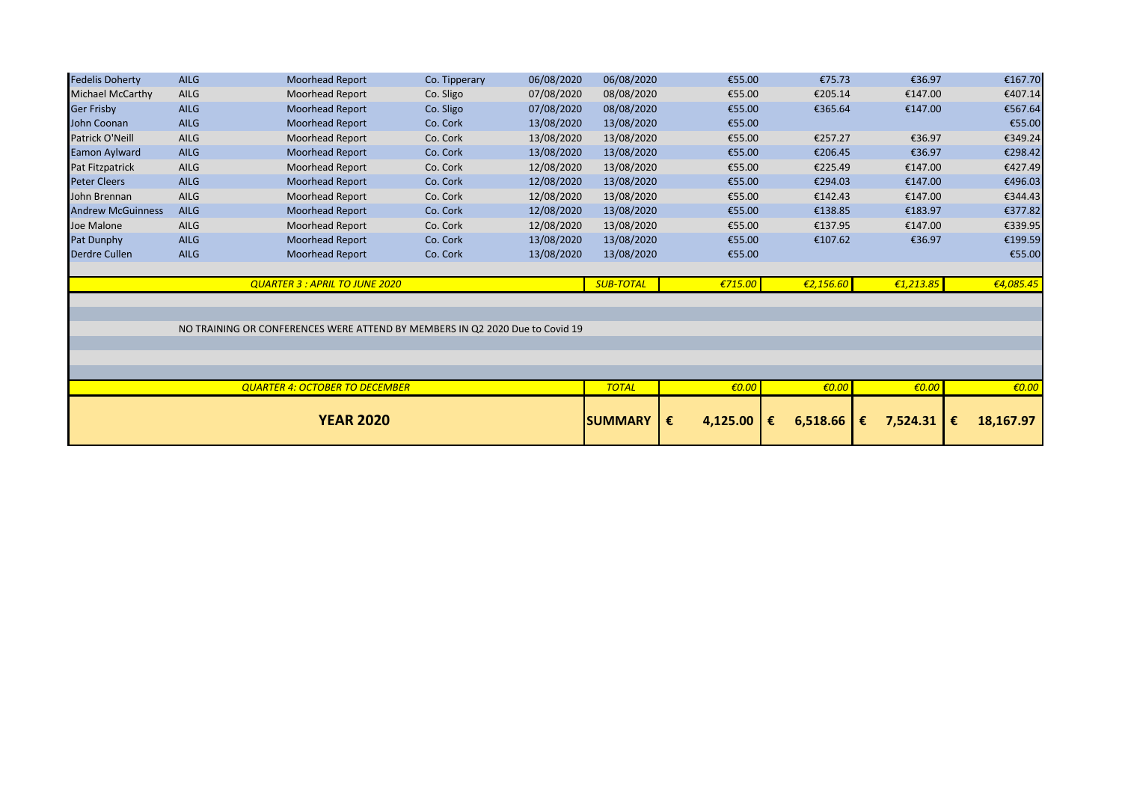| <b>Fedelis Doherty</b>   | <b>AILG</b> | Moorhead Report                                                              | Co. Tipperary | 06/08/2020 | 06/08/2020       | €55.00          | €75.73        | €36.97          | €167.70        |
|--------------------------|-------------|------------------------------------------------------------------------------|---------------|------------|------------------|-----------------|---------------|-----------------|----------------|
| <b>Michael McCarthy</b>  | <b>AILG</b> | <b>Moorhead Report</b>                                                       | Co. Sligo     | 07/08/2020 | 08/08/2020       | €55.00          | €205.14       | €147.00         | €407.14        |
| <b>Ger Frisby</b>        | <b>AILG</b> | <b>Moorhead Report</b>                                                       | Co. Sligo     | 07/08/2020 | 08/08/2020       | €55.00          | €365.64       | €147.00         | €567.64        |
| John Coonan              | <b>AILG</b> | <b>Moorhead Report</b>                                                       | Co. Cork      | 13/08/2020 | 13/08/2020       | €55.00          |               |                 | €55.00         |
| Patrick O'Neill          | AILG        | Moorhead Report                                                              | Co. Cork      | 13/08/2020 | 13/08/2020       | €55.00          | €257.27       | €36.97          | €349.24        |
| Eamon Aylward            | <b>AILG</b> | Moorhead Report                                                              | Co. Cork      | 13/08/2020 | 13/08/2020       | €55.00          | €206.45       | €36.97          | €298.42        |
| Pat Fitzpatrick          | AILG        | <b>Moorhead Report</b>                                                       | Co. Cork      | 12/08/2020 | 13/08/2020       | €55.00          | €225.49       | €147.00         | €427.49        |
| <b>Peter Cleers</b>      | <b>AILG</b> | <b>Moorhead Report</b>                                                       | Co. Cork      | 12/08/2020 | 13/08/2020       | €55.00          | €294.03       | €147.00         | €496.03        |
| John Brennan             | AILG        | <b>Moorhead Report</b>                                                       | Co. Cork      | 12/08/2020 | 13/08/2020       | €55.00          | €142.43       | €147.00         | €344.43        |
| <b>Andrew McGuinness</b> | <b>AILG</b> | Moorhead Report                                                              | Co. Cork      | 12/08/2020 | 13/08/2020       | €55.00          | €138.85       | €183.97         | €377.82        |
| Joe Malone               | AILG        | Moorhead Report                                                              | Co. Cork      | 12/08/2020 | 13/08/2020       | €55.00          | €137.95       | €147.00         | €339.95        |
| Pat Dunphy               | <b>AILG</b> | <b>Moorhead Report</b>                                                       | Co. Cork      | 13/08/2020 | 13/08/2020       | €55.00          | €107.62       | €36.97          | €199.59        |
| <b>Derdre Cullen</b>     | <b>AILG</b> | Moorhead Report                                                              | Co. Cork      | 13/08/2020 | 13/08/2020       | €55.00          |               |                 | €55.00         |
|                          |             |                                                                              |               |            |                  |                 |               |                 |                |
|                          |             | <b>QUARTER 3 : APRIL TO JUNE 2020</b>                                        |               |            | <b>SUB-TOTAL</b> | €715.00         | €2,156.60     | €1,213.85       | €4,085.45      |
|                          |             |                                                                              |               |            |                  |                 |               |                 |                |
|                          |             |                                                                              |               |            |                  |                 |               |                 |                |
|                          |             | NO TRAINING OR CONFERENCES WERE ATTEND BY MEMBERS IN Q2 2020 Due to Covid 19 |               |            |                  |                 |               |                 |                |
|                          |             |                                                                              |               |            |                  |                 |               |                 |                |
|                          |             |                                                                              |               |            |                  |                 |               |                 |                |
|                          |             |                                                                              |               |            |                  |                 |               |                 |                |
|                          |             | <b>QUARTER 4: OCTOBER TO DECEMBER</b>                                        |               |            | <b>TOTAL</b>     | $\epsilon$ 0.00 | €0.00         | $\epsilon$ 0.00 | €0.00          |
|                          |             |                                                                              |               |            |                  |                 |               |                 |                |
| <b>YEAR 2020</b>         |             |                                                                              |               |            | <b>SUMMARY</b>   | €<br>4,125.00   | 6,518.66<br>€ | 7,524.31<br>€   | 18,167.97<br>€ |
|                          |             |                                                                              |               |            |                  |                 |               |                 |                |
|                          |             |                                                                              |               |            |                  |                 |               |                 |                |